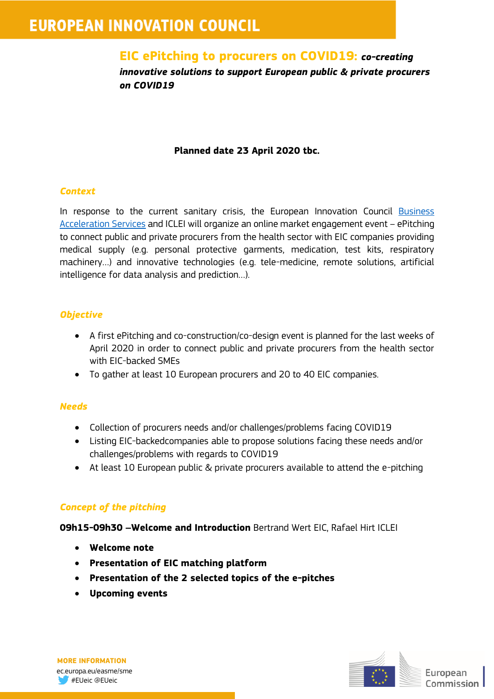# **EUROPEAN INNOVATION COUNCIL**

# **EIC ePitching to procurers on COVID19:** *co-creating*

*innovative solutions to support European public & private procurers on COVID19*

### **Planned date 23 April 2020 tbc.**

#### *Context*

In response to the current sanitary crisis, the European Innovation Council [Business](https://ec.europa.eu/easme/en/section/sme-instrument/business-acceleration-support-and-coaching-services)  [Acceleration Services](https://ec.europa.eu/easme/en/section/sme-instrument/business-acceleration-support-and-coaching-services) and ICLEI will organize an online market engagement event – ePitching to connect public and private procurers from the health sector with EIC companies providing medical supply (e.g. personal protective garments, medication, test kits, respiratory machinery…) and innovative technologies (e.g. tele-medicine, remote solutions, artificial intelligence for data analysis and prediction…).

#### *Objective*

- A first ePitching and co-construction/co-design event is planned for the last weeks of April 2020 in order to connect public and private procurers from the health sector with EIC-backed SMEs
- To gather at least 10 European procurers and 20 to 40 EIC companies.

## *Needs*

- Collection of procurers needs and/or challenges/problems facing COVID19
- Listing EIC-backedcompanies able to propose solutions facing these needs and/or challenges/problems with regards to COVID19
- At least 10 European public & private procurers available to attend the e-pitching

## *Concept of the pitching*

**09h15-09h30 –Welcome and Introduction** Bertrand Wert EIC, Rafael Hirt ICLEI

- **Welcome note**
- **Presentation of EIC matching platform**
- **Presentation of the 2 selected topics of the e-pitches**
- **Upcoming events**

  **MORE INFORMATION** ec.europa.eu/easme/sme #EUeic @EUeic

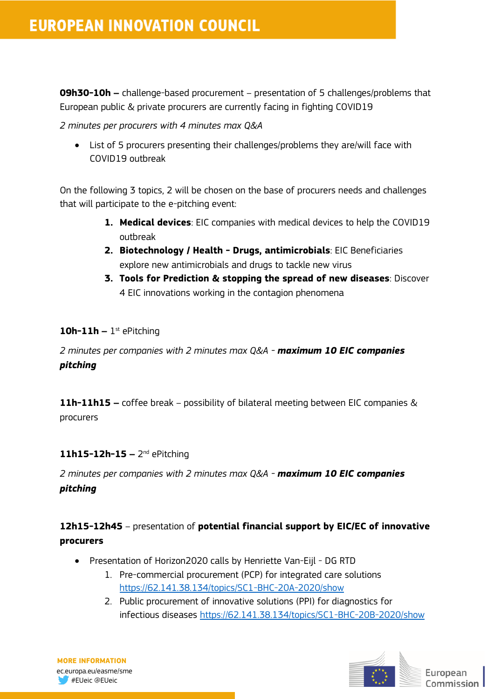**09h30-10h –** challenge-based procurement – presentation of 5 challenges/problems that European public & private procurers are currently facing in fighting COVID19

*2 minutes per procurers with 4 minutes max Q&A* 

 List of 5 procurers presenting their challenges/problems they are/will face with COVID19 outbreak

On the following 3 topics, 2 will be chosen on the base of procurers needs and challenges that will participate to the e-pitching event:

- **1. Medical devices**: EIC companies with medical devices to help the COVID19 outbreak
- **2. Biotechnology / Health - Drugs, antimicrobials**: EIC Beneficiaries explore new antimicrobials and drugs to tackle new virus
- **3. Tools for Prediction & stopping the spread of new diseases**: Discover 4 EIC innovations working in the contagion phenomena

#### **10h-11h –** 1 st ePitching

*2 minutes per companies with 2 minutes max Q&A - maximum 10 EIC companies pitching*

**11h-11h15 –** coffee break – possibility of bilateral meeting between EIC companies & procurers

#### **11h15-12h-15 –** 2<sup>nd</sup> ePitching

*2 minutes per companies with 2 minutes max Q&A - maximum 10 EIC companies pitching*

## **12h15-12h45** – presentation of **potential financial support by EIC/EC of innovative procurers**

- Presentation of Horizon2020 calls by Henriette Van-Eijl DG RTD
	- 1. Pre-commercial procurement (PCP) for integrated care solutions <https://62.141.38.134/topics/SC1-BHC-20A-2020/show>
	- 2. Public procurement of innovative solutions (PPI) for diagnostics for infectious diseases<https://62.141.38.134/topics/SC1-BHC-20B-2020/show>